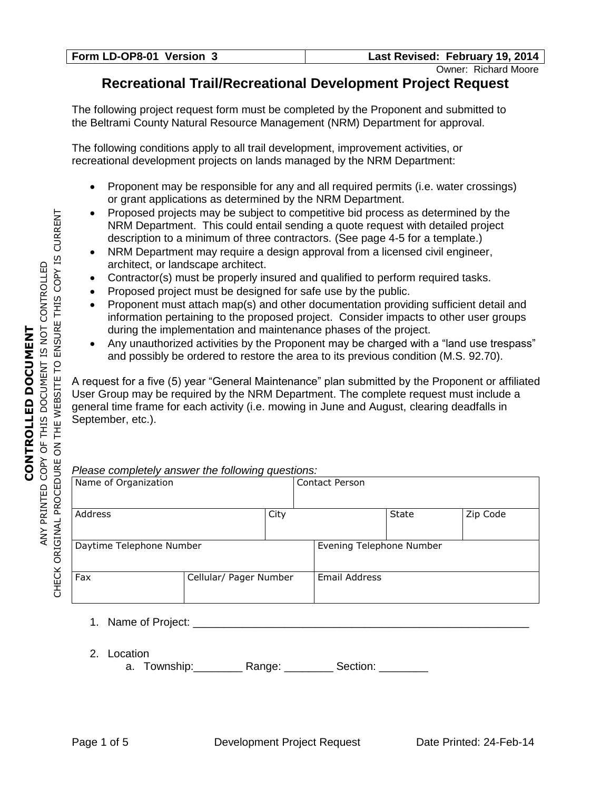Owner: Richard Moore

## **Recreational Trail/Recreational Development Project Request**

The following project request form must be completed by the Proponent and submitted to the Beltrami County Natural Resource Management (NRM) Department for approval.

The following conditions apply to all trail development, improvement activities, or recreational development projects on lands managed by the NRM Department:

- Proponent may be responsible for any and all required permits (i.e. water crossings) or grant applications as determined by the NRM Department.
- Proposed projects may be subject to competitive bid process as determined by the NRM Department. This could entail sending a quote request with detailed project description to a minimum of three contractors. (See page 4-5 for a template.)
- NRM Department may require a design approval from a licensed civil engineer, architect, or landscape architect.
- Contractor(s) must be properly insured and qualified to perform required tasks.
- Proposed project must be designed for safe use by the public.
- Proponent must attach map(s) and other documentation providing sufficient detail and information pertaining to the proposed project. Consider impacts to other user groups during the implementation and maintenance phases of the project.
- Any unauthorized activities by the Proponent may be charged with a "land use trespass" and possibly be ordered to restore the area to its previous condition (M.S. 92.70).

A request for a five (5) year "General Maintenance" plan submitted by the Proponent or affiliated User Group may be required by the NRM Department. The complete request must include a general time frame for each activity (i.e. mowing in June and August, clearing deadfalls in September, etc.).

### *Please completely answer the following questions:*

| Name of Organization     |                        | ິ່   | <b>Contact Person</b>    |              |          |  |  |
|--------------------------|------------------------|------|--------------------------|--------------|----------|--|--|
| Address                  |                        | City |                          | <b>State</b> | Zip Code |  |  |
| Daytime Telephone Number |                        |      | Evening Telephone Number |              |          |  |  |
| Fax                      | Cellular/ Pager Number |      | Email Address            |              |          |  |  |

- 1. Name of Project:  $\blacksquare$
- 2. Location
	- a. Township: Range: 2000 Section: 2000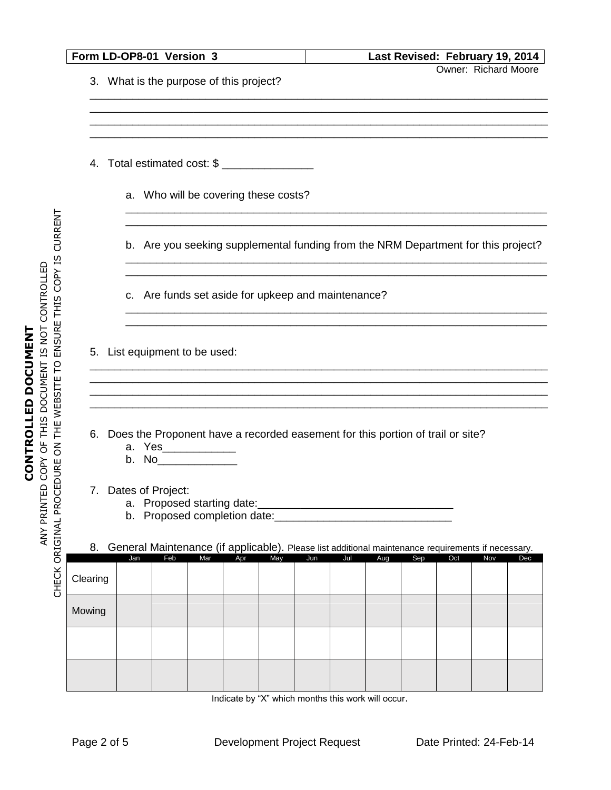|                                         |     | Form LD-OP8-01 Version 3                                                                             |     |     |     |     |     |     |     |     | Last Revised: February 19, 2014 |     |
|-----------------------------------------|-----|------------------------------------------------------------------------------------------------------|-----|-----|-----|-----|-----|-----|-----|-----|---------------------------------|-----|
| 3. What is the purpose of this project? |     |                                                                                                      |     |     |     |     |     |     |     |     | Owner: Richard Moore            |     |
|                                         |     |                                                                                                      |     |     |     |     |     |     |     |     |                                 |     |
|                                         |     |                                                                                                      |     |     |     |     |     |     |     |     |                                 |     |
|                                         |     | 4. Total estimated cost: \$                                                                          |     |     |     |     |     |     |     |     |                                 |     |
|                                         |     | a. Who will be covering these costs?                                                                 |     |     |     |     |     |     |     |     |                                 |     |
|                                         |     | b. Are you seeking supplemental funding from the NRM Department for this project?                    |     |     |     |     |     |     |     |     |                                 |     |
|                                         |     | c. Are funds set aside for upkeep and maintenance?                                                   |     |     |     |     |     |     |     |     |                                 |     |
|                                         |     |                                                                                                      |     |     |     |     |     |     |     |     |                                 |     |
|                                         |     | 5. List equipment to be used:                                                                        |     |     |     |     |     |     |     |     |                                 |     |
|                                         |     |                                                                                                      |     |     |     |     |     |     |     |     |                                 |     |
|                                         |     |                                                                                                      |     |     |     |     |     |     |     |     |                                 |     |
|                                         |     |                                                                                                      |     |     |     |     |     |     |     |     |                                 |     |
| 6.                                      |     | Does the Proponent have a recorded easement for this portion of trail or site?<br>a. Yes____________ |     |     |     |     |     |     |     |     |                                 |     |
|                                         | b.  | No <sub>___________________</sub>                                                                    |     |     |     |     |     |     |     |     |                                 |     |
|                                         |     | 7. Dates of Project:                                                                                 |     |     |     |     |     |     |     |     |                                 |     |
|                                         |     | a. Proposed starting date:<br>b. Proposed completion date:                                           |     |     |     |     |     |     |     |     |                                 |     |
| 8.                                      |     | General Maintenance (if applicable). Please list additional maintenance requirements if necessary.   |     |     |     |     |     |     |     |     |                                 |     |
|                                         | Jan | Feb                                                                                                  | Mar | Apr | May | Jun | Jul | Aug | Sep | Oct | Nov                             | Dec |
| Clearing                                |     |                                                                                                      |     |     |     |     |     |     |     |     |                                 |     |
| Mowing                                  |     |                                                                                                      |     |     |     |     |     |     |     |     |                                 |     |
|                                         |     |                                                                                                      |     |     |     |     |     |     |     |     |                                 |     |
|                                         |     |                                                                                                      |     |     |     |     |     |     |     |     |                                 |     |
|                                         |     |                                                                                                      |     |     |     |     |     |     |     |     |                                 |     |

Indicate by "X" which months this work will occur.

**CONTROLLED DOCUMENT** ANY PRINTED COPY OF THIS DOCUMENT IS NOT CONTROLLED

**CONTROLLED DOCUMENT**<br>ANY PRINTED COPY OF THIS DOCUMENT IS NOT CONTROLLED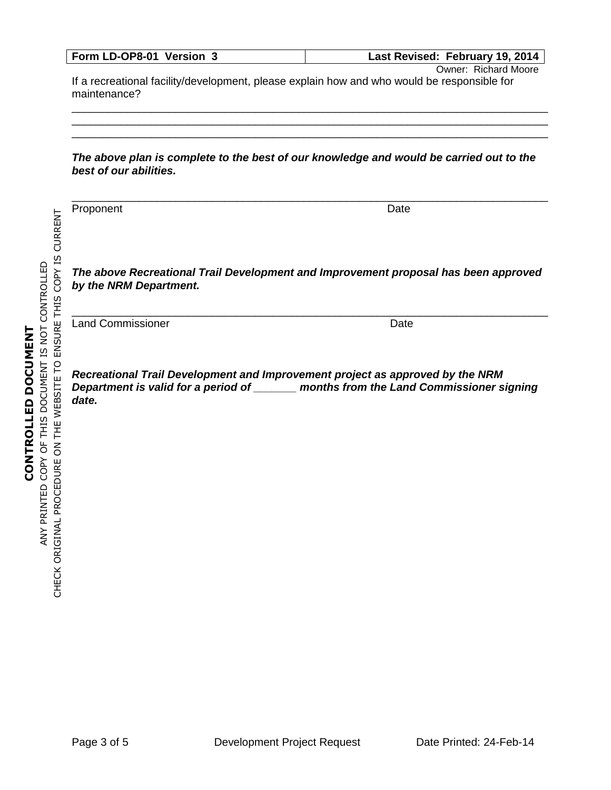| Form LD-OP8-01 Version 3 | Last Revised: February 19, 2014 |
|--------------------------|---------------------------------|
|--------------------------|---------------------------------|

Owner: Richard Moore

If a recreational facility/development, please explain how and who would be responsible for maintenance?

### *The above plan is complete to the best of our knowledge and would be carried out to the best of our abilities.*

\_\_\_\_\_\_\_\_\_\_\_\_\_\_\_\_\_\_\_\_\_\_\_\_\_\_\_\_\_\_\_\_\_\_\_\_\_\_\_\_\_\_\_\_\_\_\_\_\_\_\_\_\_\_\_\_\_\_\_\_\_\_\_\_\_\_\_\_\_\_\_\_\_\_\_\_\_\_

\_\_\_\_\_\_\_\_\_\_\_\_\_\_\_\_\_\_\_\_\_\_\_\_\_\_\_\_\_\_\_\_\_\_\_\_\_\_\_\_\_\_\_\_\_\_\_\_\_\_\_\_\_\_\_\_\_\_\_\_\_\_\_\_\_\_\_\_\_\_\_\_\_\_\_\_\_\_ \_\_\_\_\_\_\_\_\_\_\_\_\_\_\_\_\_\_\_\_\_\_\_\_\_\_\_\_\_\_\_\_\_\_\_\_\_\_\_\_\_\_\_\_\_\_\_\_\_\_\_\_\_\_\_\_\_\_\_\_\_\_\_\_\_\_\_\_\_\_\_\_\_\_\_\_\_\_ \_\_\_\_\_\_\_\_\_\_\_\_\_\_\_\_\_\_\_\_\_\_\_\_\_\_\_\_\_\_\_\_\_\_\_\_\_\_\_\_\_\_\_\_\_\_\_\_\_\_\_\_\_\_\_\_\_\_\_\_\_\_\_\_\_\_\_\_\_\_\_\_\_\_\_\_\_\_

ENSURE THIS COPY IS CURRENT CHECK ORIGINAL PROCEDURE ON THE WEBSITE TO ENSURE THIS COPY IS CURRENT ANY PRINTED COPY OF THIS DOCUMENT IS NOT CONTROLLED ANY PRINTED COPY OF THIS DOCUMENT IS NOT CONTROLLED CONTROLLED DOCUMENT **CONTROLLED DOCUMENT** CHECK ORIGINAL PROCEDURE ON THE WEBSITE TO

Proponent Date **Date** 

*The above Recreational Trail Development and Improvement proposal has been approved by the NRM Department.*

\_\_\_\_\_\_\_\_\_\_\_\_\_\_\_\_\_\_\_\_\_\_\_\_\_\_\_\_\_\_\_\_\_\_\_\_\_\_\_\_\_\_\_\_\_\_\_\_\_\_\_\_\_\_\_\_\_\_\_\_\_\_\_\_\_\_\_\_\_\_\_\_\_\_\_\_\_\_

Land Commissioner National Commissioner National Commissioner National Commissioner National Commissioner National Commissioner National Commissioner National Commissioner National Commissioner National Commissioner Nation

*Recreational Trail Development and Improvement project as approved by the NRM Department is valid for a period of \_\_\_\_\_\_\_ months from the Land Commissioner signing date.*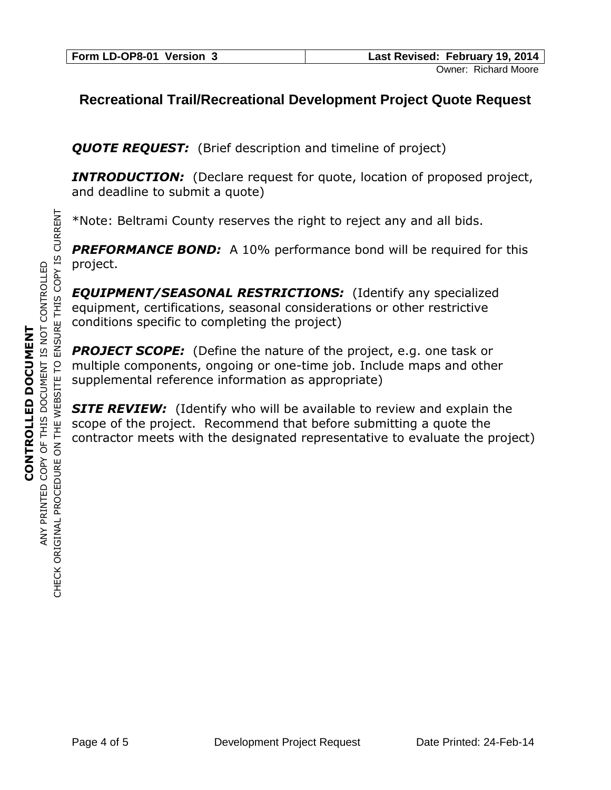# **Recreational Trail/Recreational Development Project Quote Request**

**QUOTE REQUEST:** (Brief description and timeline of project)

**INTRODUCTION:** (Declare request for quote, location of proposed project, and deadline to submit a quote)

\*Note: Beltrami County reserves the right to reject any and all bids.

**PREFORMANCE BOND:** A 10% performance bond will be required for this project.

*EQUIPMENT/SEASONAL RESTRICTIONS:* (Identify any specialized equipment, certifications, seasonal considerations or other restrictive conditions specific to completing the project)

**PROJECT SCOPE:** (Define the nature of the project, e.g. one task or multiple components, ongoing or one-time job. Include maps and other supplemental reference information as appropriate)

**SITE REVIEW:** (Identify who will be available to review and explain the scope of the project. Recommend that before submitting a quote the contractor meets with the designated representative to evaluate the project)